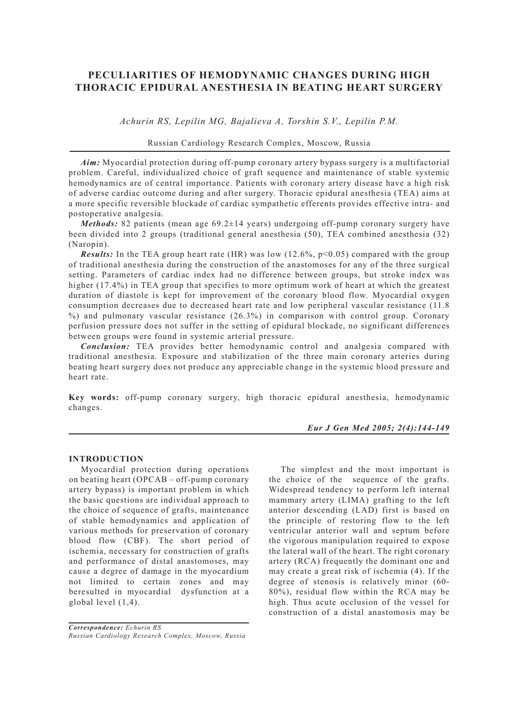# **PECULIARITIES OF HEMODYNAMIC CHANGES DURING HIGH THORACIC EPIDURAL ANESTHESIA IN BEATING HEART SURGERY**

*Achurin RS, Lepilin MG, Bajalieva A, Torshin S.V., Lepilin P.M.*

# Russian Cardiology Research Complex, Moscow, Russia

*Aim:* Myocardial protection during off-pump coronary artery bypass surgery is a multifactorial problem. Careful, individualized choice of graft sequence and maintenance of stable systemic hemodynamics are of central importance. Patients with coronary artery disease have a high risk of adverse cardiac outcome during and after surgery. Thoracic epidural anesthesia (TEA) aims at a more specific reversible blockade of cardiac sympathetic efferents provides effective intra- and postoperative analgesia.

*Methods:* 82 patients (mean age 69.2±14 years) undergoing off-pump coronary surgery have been divided into 2 groups (traditional general anesthesia (50), TEA combined anesthesia (32) (Naropin).

**Results:** In the TEA group heart rate (HR) was low  $(12.6\%, p<0.05)$  compared with the group of traditional anesthesia during the construction of the anastomoses for any of the three surgical setting. Parameters of cardiac index had no difference between groups, but stroke index was higher (17.4%) in TEA group that specifies to more optimum work of heart at which the greatest duration of diastole is kept for improvement of the coronary blood flow. Myocardial oxygen consumption decreases due to decreased heart rate and low peripheral vascular resistance (11.8 %) and pulmonary vascular resistance (26.3%) in comparison with control group. Coronary perfusion pressure does not suffer in the setting of epidural blockade, no significant differences between groups were found in systemic arterial pressure.

*Conclusion:* TEA provides better hemodynamic control and analgesia compared with traditional anesthesia. Exposure and stabilization of the three main coronary arteries during beating heart surgery does not produce any appreciable change in the systemic blood pressure and heart rate.

**Key words:** off-pump coronary surgery, high thoracic epidural anesthesia, hemodynamic changes.

#### *Eur J Gen Med 2005; 2(4):144-149*

### **INTRODUCTION**

Myocardial protection during operations on beating heart (OPCAB – off-pump coronary artery bypass) is important problem in which the basic questions are individual approach to the choice of sequence of grafts, maintenance of stable hemodynamics and application of various methods for preservation of coronary blood flow (CBF). The short period of ischemia, necessary for construction of grafts and performance of distal anastomoses, may cause a degree of damage in the myocardium not limited to certain zones and may beresulted in myocardial dysfunction at a global level (1,4).

*Correspondence: Echurin RS Russian Cardiology Research Complex, Moscow, Russia*

The simplest and the most important is the choice of the sequence of the grafts. Widespread tendency to perform left internal mammary artery (LIMA) grafting to the left anterior descending (LAD) first is based on the principle of restoring flow to the left ventricular anterior wall and septum before the vigorous manipulation required to expose the lateral wall of the heart. The right coronary artery (RCА) frequently the dominant one and may create a great risk of ischemia (4). If the degree of stenosis is relatively minor (60- 80%), residual flow within the RCA may be high. Thus acute occlusion of the vessel for construction of a distal anastomosis may be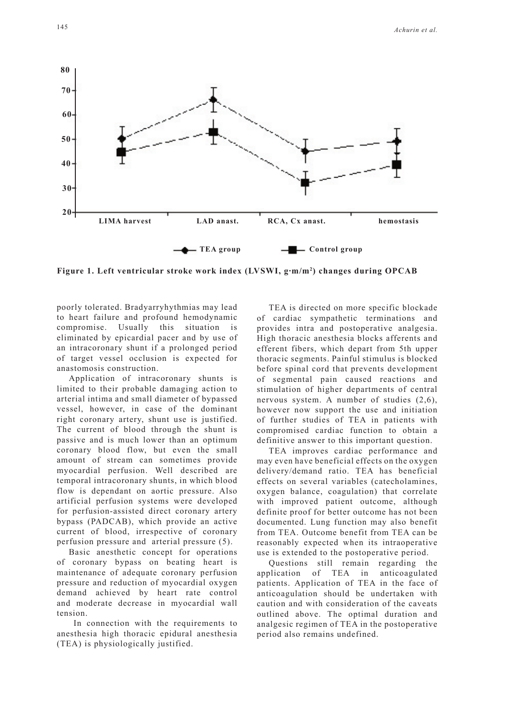

**Figure 1. Left ventricular stroke work index (LVSWI, g·m/m2 ) changes during OPCAB** 

poorly tolerated. Bradyarryhythmias may lead to heart failure and profound hemodynamic compromise. Usually this situation is eliminated by epicardial pacer and by use of an intracoronary shunt if a prolonged period of target vessel occlusion is expected for anastomosis construction.

Application of intracoronary shunts is limited to their probable damaging action to arterial intima and small diameter of bypassed vessel, however, in case of the dominant right coronary artery, shunt use is justified. The current of blood through the shunt is passive and is much lower than an optimum coronary blood flow, but even the small amount of stream can sometimes provide myocardial perfusion. Well described are temporal intracoronary shunts, in which blood flow is dependant on aortic pressure. Also artificial perfusion systems were developed for perfusion-assisted direct coronary artery bypass (PADCAB), which provide an active current of blood, irrespective of coronary perfusion pressure and arterial pressure (5).

Basic anesthetic concept for operations of coronary bypass on beating heart is maintenance of adequate coronary perfusion pressure and reduction of myocardial oxygen demand achieved by heart rate control and moderate decrease in myocardial wall tension.

 In connection with the requirements to anesthesia high thoracic epidural anesthesia (TEA) is physiologically justified.

TEA is directed on more specific blockade of cardiac sympathetic terminations and provides intra and postoperative analgesia. High thoracic anesthesia blocks afferents and efferent fibers, which depart from 5th upper thoracic segments. Painful stimulus is blocked before spinal cord that prevents development of segmental pain caused reactions and stimulation of higher departments of central nervous system. A number of studies (2,6), however now support the use and initiation of further studies of TEA in patients with compromised cardiac function to obtain a definitive answer to this important question.

TEA improves cardiac performance and may even have beneficial effects on the oxygen delivery/demand ratio. TEA has beneficial effects on several variables (catecholamines, oxygen balance, coagulation) that correlate with improved patient outcome, although definite proof for better outcome has not been documented. Lung function may also benefit from TEA. Outcome benefit from TEA can be reasonably expected when its intraoperative use is extended to the postoperative period.

Questions still remain regarding the application of TEA in anticoagulated patients. Application of TEA in the face of anticoagulation should be undertaken with caution and with consideration of the caveats outlined above. The optimal duration and analgesic regimen of TEA in the postoperative period also remains undefined.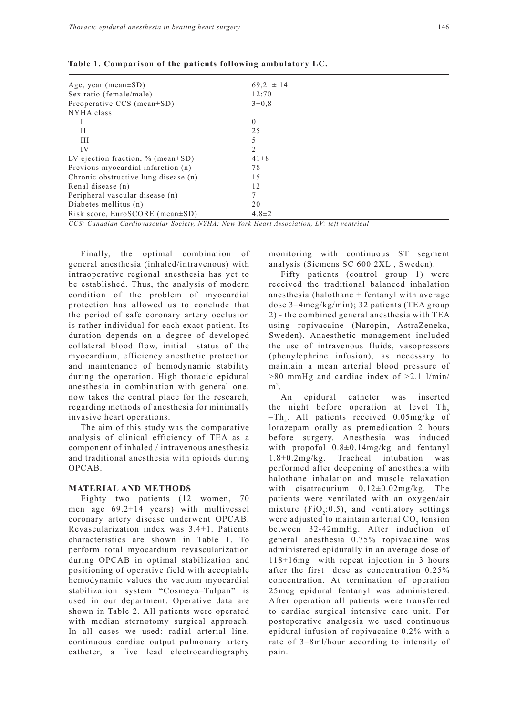| Age, year (mean $\pm SD$ )                 | $69.2 \pm 14$  |  |
|--------------------------------------------|----------------|--|
| Sex ratio (female/male)                    | 12:70          |  |
| Preoperative $CCS$ (mean $\pm SD$ )        | $3\pm0.8$      |  |
| NYHA class                                 |                |  |
|                                            | $\Omega$       |  |
| Н                                          | 25             |  |
| Ш                                          |                |  |
| IV                                         | $\mathfrak{D}$ |  |
| LV ejection fraction, $\%$ (mean $\pm$ SD) | $41 \pm 8$     |  |
| Previous myocardial infarction (n)         | 78             |  |
| Chronic obstructive lung disease (n)       | 15             |  |
| Renal disease (n)                          | 12             |  |
| Peripheral vascular disease (n)            |                |  |
| Diabetes mellitus (n)                      | 20             |  |
| Risk score, EuroSCORE (mean $\pm$ SD)      | $4.8 \pm 2$    |  |

**Table 1. Comparison of the patients following ambulatory LC.**

*CCS: Canadian Cardiovascular Society, NYHA: New York Heart Association, LV: left ventricul*

Finally, the optimal combination of general anesthesia (inhaled/intravenous) with intraoperative regional anesthesia has yet to be established. Thus, the analysis of modern condition of the problem of myocardial protection has allowed us to conclude that the period of safe coronary artery occlusion is rather individual for each exact patient. Its duration depends on a degree of developed collateral blood flow, initial status of the myocardium, efficiency anesthetic protection and maintenance of hemodynamic stability during the operation. High thoracic epidural anesthesia in combination with general one, now takes the central place for the research, regarding methods of anesthesia for minimally invasive heart operations.

The aim of this study was the comparative analysis of clinical efficiency of TEA as a component of inhaled / intravenous anesthesia and traditional anesthesia with opioids during OPCAB.

### **MATERIAL AND METHODS**

Eighty two patients (12 women, 70 men age 69.2±14 years) with multivessel coronary artery disease underwent OPCAB. Revascularization index was 3.4±1. Patients characteristics are shown in Table 1. To perform total myocardium revascularization during OPCAB in optimal stabilization and positioning of operative field with acceptable hemodynamic values the vacuum myocardial stabilization system "Cosmeya–Tulpan" is used in our department. Operative data are shown in Table 2. All patients were operated with median sternotomy surgical approach. In all cases we used: radial arterial line, continuous cardiac output pulmonary artery catheter, a five lead electrocardiography monitoring with continuous ST segment analysis (Siemens SC 600 2XL , Sweden).

Fifty patients (control group 1) were received the traditional balanced inhalation anesthesia (halothane + fentanyl with average dose 3–4mcg/kg/min); 32 patients (TEA group 2) - the combined general anesthesia with TEA using ropivacaine (Naropin, AstraZeneka, Sweden). Anaesthetic management included the use of intravenous fluids, vasopressors (phenylephrine infusion), as necessary to maintain a mean arterial blood pressure of >80 mmHg and cardiac index of >2.1 l/min/  $m<sup>2</sup>$ .

An epidural catheter was inserted the night before operation at level Th<sub>2</sub>  $-Th_4$ . All patients received 0.05mg/kg of lorazepam orally as premedication 2 hours before surgery. Anesthesia was induced with propofol 0.8±0.14mg/kg and fentanyl 1.8±0.2mg/kg. Tracheal intubation was performed after deepening of anesthesia with halothane inhalation and muscle relaxation with cisatracurium  $0.12\pm0.02$ mg/kg. The patients were ventilated with an oxygen/air mixture ( $FiO_2$ :0.5), and ventilatory settings were adjusted to maintain arterial  $CO<sub>2</sub>$  tension between 32-42mmHg. After induction of general anesthesia 0.75% ropivacaine was administered epidurally in an average dose of 118±16mg with repeat injection in 3 hours after the first dose as concentration 0.25% concentration. At termination of operation 25mcg epidural fentanyl was administered. After operation all patients were transferred to cardiac surgical intensive care unit. For postoperative analgesia we used continuous epidural infusion of ropivacaine 0.2% with a rate of 3–8ml/hour according to intensity of pain.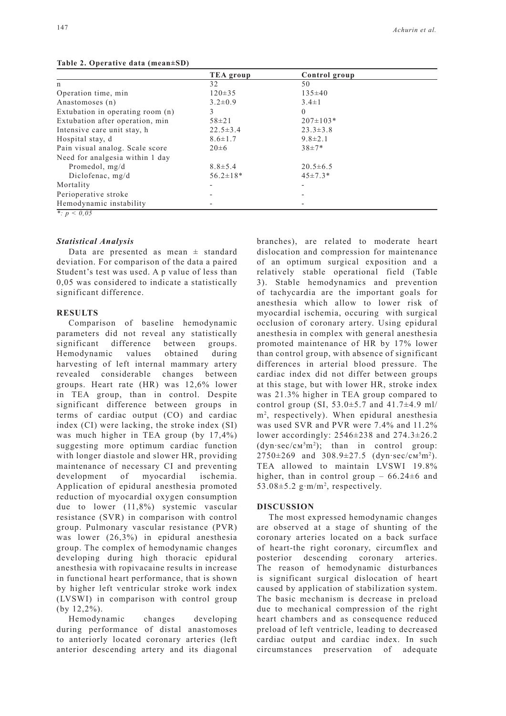| TEA group      | Control group  |  |
|----------------|----------------|--|
| 32             | 50             |  |
| $120 \pm 35$   | $135 \pm 40$   |  |
| $3.2 \pm 0.9$  | $3.4 \pm 1$    |  |
|                | $\theta$       |  |
| $58 + 21$      | $207 \pm 103*$ |  |
| $22.5 \pm 3.4$ | $23.3 \pm 3.8$ |  |
| $8.6 \pm 1.7$  | $9.8 \pm 2.1$  |  |
| $20 \pm 6$     | $38+7*$        |  |
|                |                |  |
| $8.8 \pm 5.4$  | $20.5 \pm 6.5$ |  |
| $56.2 \pm 18*$ | $45 \pm 7.3*$  |  |
|                |                |  |
|                |                |  |
|                |                |  |
|                |                |  |

#### **Table 2. Operative data (mean±SD)**

*\*: p < 0,05*

### *Statistical Analysis*

Data are presented as mean  $\pm$  standard deviation. For comparison of the data a paired Student's test was used. A p value of less than 0,05 was considered to indicate a statistically significant difference.

# **RESULTS**

Comparison of baseline hemodynamic parameters did not reveal any statistically significant difference between groups. Hemodynamic values obtained during harvesting of left internal mammary artery revealed considerable changes between groups. Heart rate (HR) was 12,6% lower in TEA group, than in control. Despite significant difference between groups in terms of cardiac output (CO) and cardiac index (CI) were lacking, the stroke index (SI) was much higher in TEA group (by 17,4%) suggesting more optimum cardiac function with longer diastole and slower HR, providing maintenance of necessary CI and preventing development of myocardial ischemia. Application of epidural anesthesia promoted reduction of myocardial oxygen consumption due to lower (11,8%) systemic vascular resistance (SVR) in comparison with control group. Pulmonary vascular resistance (PVR) was lower (26,3%) in epidural anesthesia group. The complex of hemodynamic changes developing during high thoracic epidural anesthesia with ropivacaine results in increase in functional heart performance, that is shown by higher left ventricular stroke work index (LVSWI) in comparison with control group (by 12,2%).

Hemodynamic changes developing during performance of distal anastomoses to anteriorly located coronary arteries (left anterior descending artery and its diagonal branches), are related to moderate heart dislocation and compression for maintenance of an optimum surgical exposition and a relatively stable operational field (Table 3). Stable hemodynamics and prevention of tachycardia are the important goals for anesthesia which allow to lower risk of myocardial ischemia, occuring with surgical occlusion of coronary artery. Using epidural anesthesia in complex with general anesthesia promoted maintenance of HR by 17% lower than control group, with absence of significant differences in arterial blood pressure. The cardiac index did not differ between groups at this stage, but with lower HR, stroke index was 21.3% higher in TEA group compared to control group (SI,  $53.0 \pm 5.7$  and  $41.7 \pm 4.9$  ml/ m2 , respectively). When epidural anesthesia was used SVR and PVR were 7.4% and 11.2% lower accordingly: 2546±238 and 274.3±26.2  $(dyn\text{-}sec/cm<sup>5</sup>m<sup>2</sup>)$ ; than in control group:  $2750 \pm 269$  and  $308.9 \pm 27.5$  (dyn·sec/cm<sup>5</sup>m<sup>2</sup>). TEA allowed to maintain LVSWI 19.8% higher, than in control group –  $66.24\pm6$  and 53.08 $\pm$ 5.2 g·m/m<sup>2</sup>, respectively.

## **DISCUSSION**

The most expressed hemodynamic changes are observed at a stage of shunting of the coronary arteries located on a back surface of heart-the right coronary, circumflex and posterior descending coronary arteries. The reason of hemodynamic disturbances is significant surgical dislocation of heart caused by application of stabilization system. The basic mechanism is decrease in preload due to mechanical compression of the right heart chambers and as consequence reduced preload of left ventricle, leading to decreased cardiac output and cardiac index. In such circumstances preservation of adequate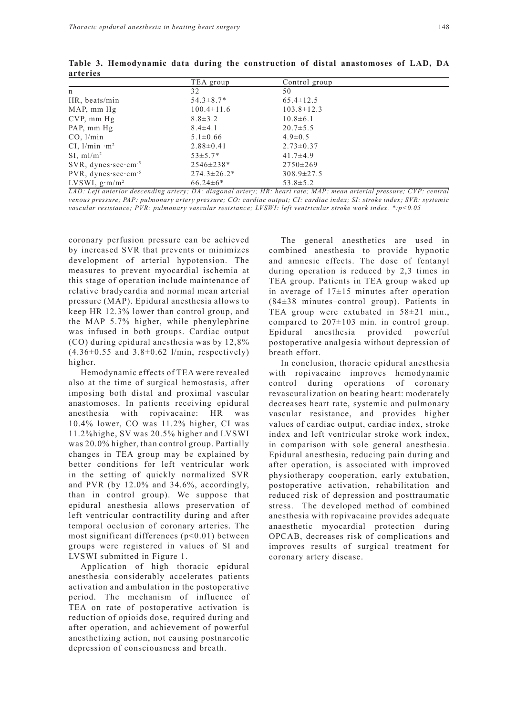|                                      | TEA group          | Control group    |  |
|--------------------------------------|--------------------|------------------|--|
| n                                    | 32                 | 50               |  |
| HR, beats/min                        | $54.3 \pm 8.7*$    | $65.4 \pm 12.5$  |  |
| MAP, mm Hg                           | $100.4 \pm 11.6$   | $103.8 \pm 12.3$ |  |
| $CVP$ , mm $Hg$                      | $8.8 \pm 3.2$      | $10.8 \pm 6.1$   |  |
| PAP, mm Hg                           | $8.4 \pm 4.1$      | $20.7 \pm 5.5$   |  |
| CO. 1/min                            | $5.1 \pm 0.66$     | $4.9 \pm 0.5$    |  |
| CI, $1/\text{min} \cdot \text{m}^2$  | $2.88 \pm 0.41$    | $2.73 \pm 0.37$  |  |
| $SI$ , m $1/m^2$                     | $53 \pm 5.7*$      | $41.7 \pm 4.9$   |  |
| $SVR$ , dynes sec · cm <sup>-5</sup> | $2546 \pm 238*$    | $2750 \pm 269$   |  |
| PVR, dynes sec cm <sup>-5</sup>      | $274.3 \pm 26.2^*$ | $308.9 \pm 27.5$ |  |
| LVSWI, $g \cdot m/m^2$               | $66.24\pm6*$       | $53.8 \pm 5.2$   |  |

**Table 3. Hemodynamic data during the construction of distal anastomoses of LAD, DA arteries**

*LAD: Left anterior descending artery; DA: diagonal artery; HR: heart rate; MAP: mean arterial pressure; CVP: central venous pressure; PAP: pulmonary artery pressure; CO: cardiac output; CI: cardiac index; SI: stroke index; SVR: systemic vascular resistance; PVR: pulmonary vascular resistance; LVSWI: left ventricular stroke work index. \*:p<0.05*

coronary perfusion pressure can be achieved by increased SVR that prevents or minimizes development of arterial hypotension. The measures to prevent myocardial ischemia at this stage of operation include maintenance of relative bradycardia and normal mean arterial pressure (MAP). Epidural anesthesia allows to keep HR 12.3% lower than control group, and the MAP 5.7% higher, while phenylephrine was infused in both groups. Cardiac output (CO) during epidural anesthesia was by 12,8%  $(4.36\pm0.55$  and  $3.8\pm0.62$  l/min, respectively) higher.

Hemodynamic effects of TEA were revealed also at the time of surgical hemostasis, after imposing both distal and proximal vascular anastomoses. In patients receiving epidural anesthesia with ropivacaine: HR was 10.4% lower, CO was 11.2% higher, CI was 11.2%highe, SV was 20.5% higher and LVSWI was 20.0% higher, than control group. Partially changes in TEA group may be explained by better conditions for left ventricular work in the setting of quickly normalized SVR and PVR (by 12.0% and 34.6%, accordingly, than in control group). We suppose that epidural anesthesia allows preservation of left ventricular contractility during and after temporal occlusion of coronary arteries. The most significant differences  $(p<0.01)$  between groups were registered in values of SI and LVSWI submitted in Figure 1.

Application of high thoracic epidural anesthesia considerably accelerates patients activation and ambulation in the postoperative period. The mechanism of influence of TEA on rate of postoperative activation is reduction of opioids dose, required during and after operation, and achievement of powerful anesthetizing action, not causing postnarcotic depression of consciousness and breath.

The general anesthetics are used in combined anesthesia to provide hypnotic and amnesic effects. The dose of fentanyl during operation is reduced by 2,3 times in TEA group. Patients in TEA group waked up in average of  $17\pm15$  minutes after operation (84±38 minutes–control group). Patients in TEA group were extubated in 58±21 min., compared to  $207\pm103$  min. in control group. Epidural anesthesia provided powerful postoperative analgesia without depression of breath effort.

In conclusion, thoracic epidural anesthesia with ropivacaine improves hemodynamic control during operations of coronary revascuralization on beating heart: moderately decreases heart rate, systemic and pulmonary vascular resistance, and provides higher values of cardiac output, cardiac index, stroke index and left ventricular stroke work index, in comparison with sole general anesthesia. Epidural anesthesia, reducing pain during and after operation, is associated with improved physiotherapy cooperation, early extubation, postoperative activation, rehabilitation and reduced risk of depression and posttraumatic stress. The developed method of combined anesthesia with ropivacaine provides adequate anaesthetic myocardial protection during OPCAB, decreases risk of complications and improves results of surgical treatment for coronary artery disease.